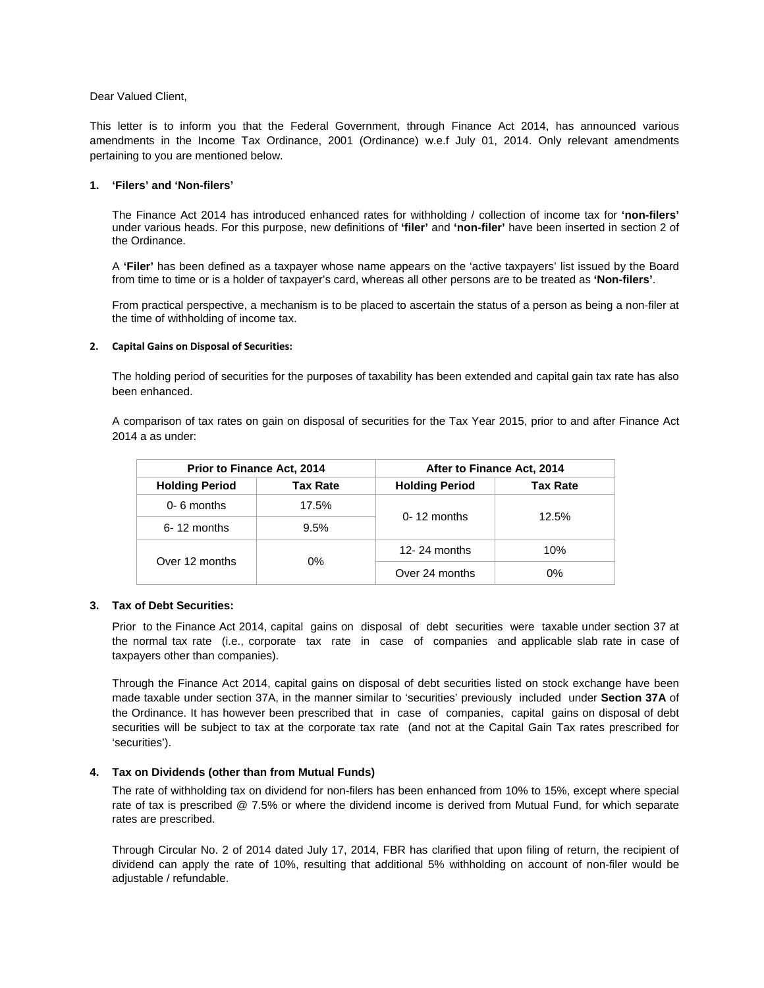Dear Valued Client,

This letter is to inform you that the Federal Government, through Finance Act 2014, has announced various amendments in the Income Tax Ordinance, 2001 (Ordinance) w.e.f July 01, 2014. Only relevant amendments pertaining to you are mentioned below.

# **1. 'Filers' and 'Non-filers'**

The Finance Act 2014 has introduced enhanced rates for withholding / collection of income tax for **'non-filers'** under various heads. For this purpose, new definitions of **'filer'** and **'non-filer'** have been inserted in section 2 of the Ordinance.

A **'Filer'** has been defined as a taxpayer whose name appears on the 'active taxpayers' list issued by the Board from time to time or is a holder of taxpayer's card, whereas all other persons are to be treated as **'Non-filers'**.

From practical perspective, a mechanism is to be placed to ascertain the status of a person as being a non-filer at the time of withholding of income tax.

# **2. Capital Gains on Disposal of Securities:**

The holding period of securities for the purposes of taxability has been extended and capital gain tax rate has also been enhanced.

A comparison of tax rates on gain on disposal of securities for the Tax Year 2015, prior to and after Finance Act 2014 a as under:

| <b>Prior to Finance Act, 2014</b> |                 | After to Finance Act, 2014 |                 |
|-----------------------------------|-----------------|----------------------------|-----------------|
| <b>Holding Period</b>             | <b>Tax Rate</b> | <b>Holding Period</b>      | <b>Tax Rate</b> |
| $0 - 6$ months                    | 17.5%           | $0 - 12$ months            | 12.5%           |
| 6-12 months                       | 9.5%            |                            |                 |
| Over 12 months                    | $0\%$           | 12-24 months               | 10%             |
|                                   |                 | Over 24 months             | 0%              |

# **3. Tax of Debt Securities:**

Prior to the Finance Act 2014, capital gains on disposal of debt securities were taxable under section 37 at the normal tax rate (i.e., corporate tax rate in case of companies and applicable slab rate in case of taxpayers other than companies).

Through the Finance Act 2014, capital gains on disposal of debt securities listed on stock exchange have been made taxable under section 37A, in the manner similar to 'securities' previously included under **Section 37A** of the Ordinance. It has however been prescribed that in case of companies, capital gains on disposal of debt securities will be subject to tax at the corporate tax rate (and not at the Capital Gain Tax rates prescribed for 'securities').

# **4. Tax on Dividends (other than from Mutual Funds)**

 The rate of withholding tax on dividend for non-filers has been enhanced from 10% to 15%, except where special rate of tax is prescribed @ 7.5% or where the dividend income is derived from Mutual Fund, for which separate rates are prescribed.

 Through Circular No. 2 of 2014 dated July 17, 2014, FBR has clarified that upon filing of return, the recipient of dividend can apply the rate of 10%, resulting that additional 5% withholding on account of non-filer would be adjustable / refundable.